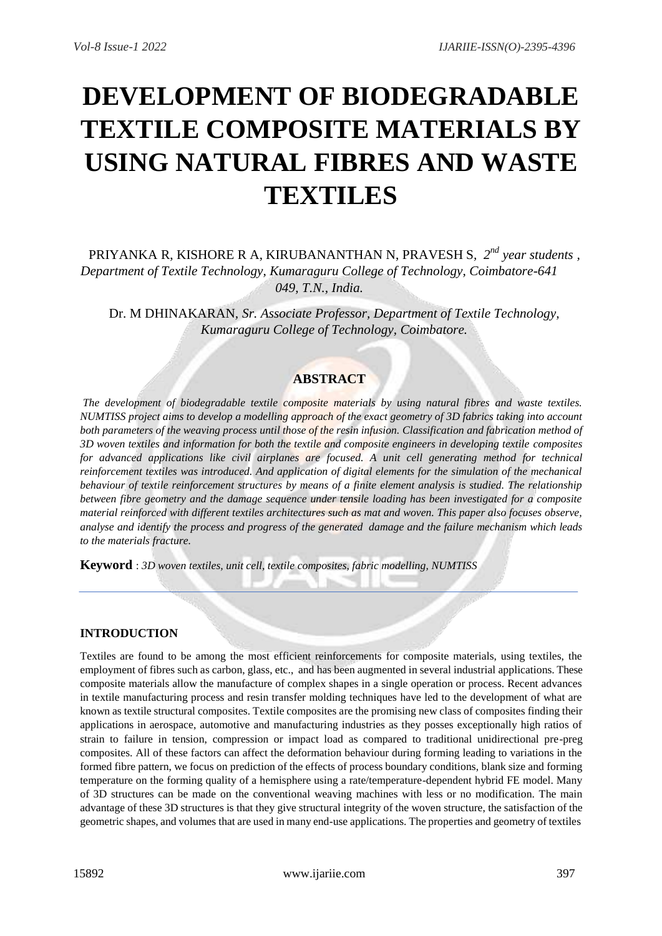# **DEVELOPMENT OF BIODEGRADABLE TEXTILE COMPOSITE MATERIALS BY USING NATURAL FIBRES AND WASTE TEXTILES**

PRIYANKA R, KISHORE R A, KIRUBANANTHAN N, PRAVESH S*, 2 nd year students , Department of Textile Technology, Kumaraguru College of Technology, Coimbatore-641 049, T.N., India.*

Dr. M DHINAKARAN*, Sr. Associate Professor, Department of Textile Technology, Kumaraguru College of Technology, Coimbatore.*

# **ABSTRACT**

*The development of biodegradable textile composite materials by using natural fibres and waste textiles. NUMTISS project aims to develop a modelling approach of the exact geometry of 3D fabrics taking into account* both parameters of the weaving process until those of the resin infusion. Classification and fabrication method of *3D woven textiles and information for both the textile and composite engineers in developing textile composites for advanced applications like civil airplanes are focused. A unit cell generating method for technical reinforcement textiles was introduced. And application of digital elements for the simulation of the mechanical behaviour of textile reinforcement structures by means of a finite element analysis is studied. The relationship between fibre geometry and the damage sequence under tensile loading has been investigated for a composite material reinforced with different textiles architectures such as mat and woven. This paper also focuses observe, analyse and identify the process and progress of the generated damage and the failure mechanism which leads to the materials fracture.*

**Keyword** : *3D woven textiles, unit cell, textile composites, fabric modelling, NUMTISS*

## **INTRODUCTION**

Textiles are found to be among the most efficient reinforcements for composite materials, using textiles, the employment of fibres such as carbon, glass, etc., and has been augmented in several industrial applications. These composite materials allow the manufacture of complex shapes in a single operation or process. Recent advances in textile manufacturing process and resin transfer molding techniques have led to the development of what are known as textile structural composites. Textile composites are the promising new class of composites finding their applications in aerospace, automotive and manufacturing industries as they posses exceptionally high ratios of strain to failure in tension, compression or impact load as compared to traditional unidirectional pre-preg composites. All of these factors can affect the deformation behaviour during forming leading to variations in the formed fibre pattern, we focus on prediction of the effects of process boundary conditions, blank size and forming temperature on the forming quality of a hemisphere using a rate/temperature-dependent hybrid FE model. Many of 3D structures can be made on the conventional weaving machines with less or no modification. The main advantage of these 3D structures is that they give structural integrity of the woven structure, the satisfaction of the geometric shapes, and volumes that are used in many end-use applications. The properties and geometry of textiles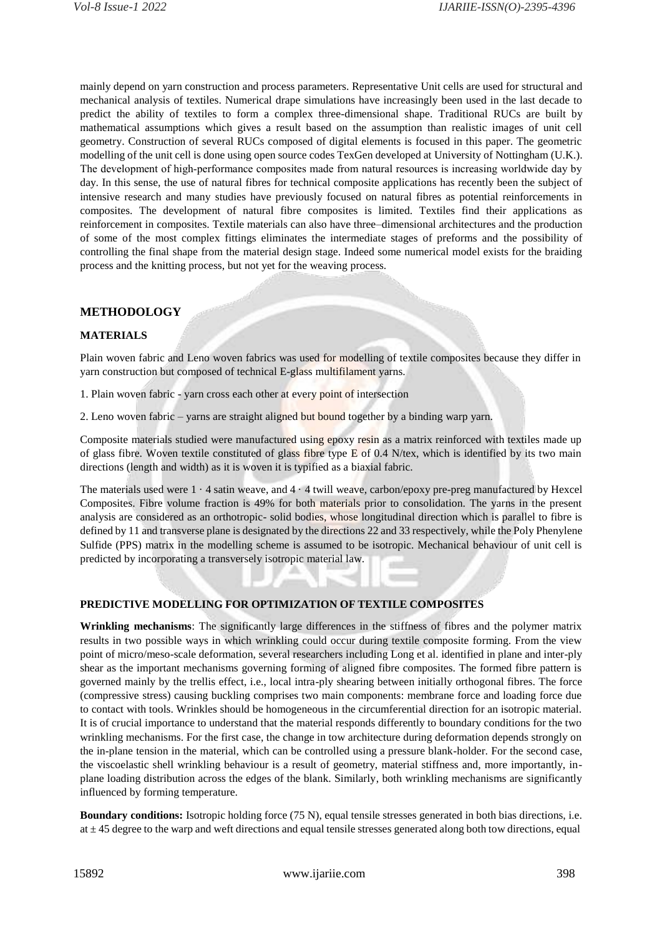mainly depend on yarn construction and process parameters. Representative Unit cells are used for structural and mechanical analysis of textiles. Numerical drape simulations have increasingly been used in the last decade to predict the ability of textiles to form a complex three-dimensional shape. Traditional RUCs are built by mathematical assumptions which gives a result based on the assumption than realistic images of unit cell geometry. Construction of several RUCs composed of digital elements is focused in this paper. The geometric modelling of the unit cell is done using open source codes TexGen developed at University of Nottingham (U.K.). The development of high-performance composites made from natural resources is increasing worldwide day by day. In this sense, the use of natural fibres for technical composite applications has recently been the subject of intensive research and many studies have previously focused on natural fibres as potential reinforcements in composites. The development of natural fibre composites is limited. Textiles find their applications as reinforcement in composites. Textile materials can also have three–dimensional architectures and the production of some of the most complex fittings eliminates the intermediate stages of preforms and the possibility of controlling the final shape from the material design stage. Indeed some numerical model exists for the braiding process and the knitting process, but not yet for the weaving process.

## **METHODOLOGY**

## **MATERIALS**

Plain woven fabric and Leno woven fabrics was used for modelling of textile composites because they differ in yarn construction but composed of technical E-glass multifilament yarns.

- 1. Plain woven fabric yarn cross each other at every point of intersection
- 2. Leno woven fabric yarns are straight aligned but bound together by a binding warp yarn.

Composite materials studied were manufactured using epoxy resin as a matrix reinforced with textiles made up of glass fibre. Woven textile constituted of glass fibre type E of 0.4 N/tex, which is identified by its two main directions (length and width) as it is woven it is typified as a biaxial fabric.

The materials used were 1 · 4 satin weave, and 4 · 4 twill weave, carbon/epoxy pre-preg manufactured by Hexcel Composites. Fibre volume fraction is 49% for both materials prior to consolidation. The yarns in the present analysis are considered as an orthotropic- solid bodies, whose longitudinal direction which is parallel to fibre is defined by 11 and transverse plane is designated by the directions 22 and 33 respectively, while the Poly Phenylene Sulfide (PPS) matrix in the modelling scheme is assumed to be isotropic. Mechanical behaviour of unit cell is predicted by incorporating a transversely isotropic material law.

#### **PREDICTIVE MODELLING FOR OPTIMIZATION OF TEXTILE COMPOSITES**

**Wrinkling mechanisms**: The significantly large differences in the stiffness of fibres and the polymer matrix results in two possible ways in which wrinkling could occur during textile composite forming. From the view point of micro/meso-scale deformation, several researchers including Long et al. identified in plane and inter-ply shear as the important mechanisms governing forming of aligned fibre composites. The formed fibre pattern is governed mainly by the trellis effect, i.e., local intra-ply shearing between initially orthogonal fibres. The force (compressive stress) causing buckling comprises two main components: membrane force and loading force due to contact with tools. Wrinkles should be homogeneous in the circumferential direction for an isotropic material. It is of crucial importance to understand that the material responds differently to boundary conditions for the two wrinkling mechanisms. For the first case, the change in tow architecture during deformation depends strongly on the in-plane tension in the material, which can be controlled using a pressure blank-holder. For the second case, the viscoelastic shell wrinkling behaviour is a result of geometry, material stiffness and, more importantly, inplane loading distribution across the edges of the blank. Similarly, both wrinkling mechanisms are significantly influenced by forming temperature.

**Boundary conditions:** Isotropic holding force (75 N), equal tensile stresses generated in both bias directions, i.e. at  $\pm$  45 degree to the warp and weft directions and equal tensile stresses generated along both tow directions, equal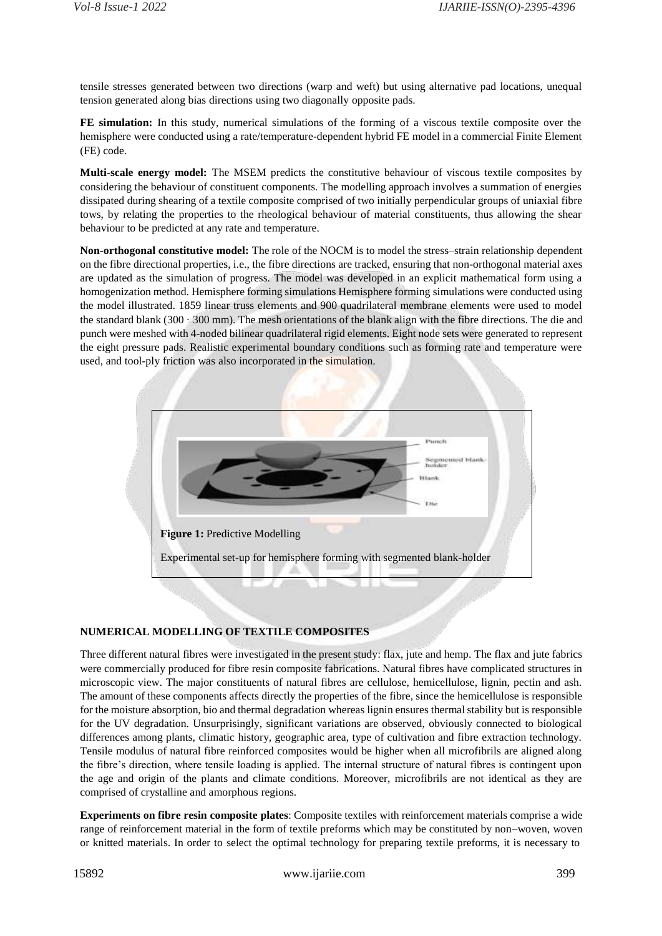tensile stresses generated between two directions (warp and weft) but using alternative pad locations, unequal tension generated along bias directions using two diagonally opposite pads.

**FE simulation:** In this study, numerical simulations of the forming of a viscous textile composite over the hemisphere were conducted using a rate/temperature-dependent hybrid FE model in a commercial Finite Element (FE) code.

**Multi-scale energy model:** The MSEM predicts the constitutive behaviour of viscous textile composites by considering the behaviour of constituent components. The modelling approach involves a summation of energies dissipated during shearing of a textile composite comprised of two initially perpendicular groups of uniaxial fibre tows, by relating the properties to the rheological behaviour of material constituents, thus allowing the shear behaviour to be predicted at any rate and temperature.

**Non-orthogonal constitutive model:** The role of the NOCM is to model the stress–strain relationship dependent on the fibre directional properties, i.e., the fibre directions are tracked, ensuring that non-orthogonal material axes are updated as the simulation of progress. The model was developed in an explicit mathematical form using a homogenization method. Hemisphere forming simulations Hemisphere forming simulations were conducted using the model illustrated. 1859 linear truss elements and 900 quadrilateral membrane elements were used to model the standard blank ( $300 \cdot 300$  mm). The mesh orientations of the blank align with the fibre directions. The die and punch were meshed with 4-noded bilinear quadrilateral rigid elements. Eight node sets were generated to represent the eight pressure pads. Realistic experimental boundary conditions such as forming rate and temperature were used, and tool-ply friction was also incorporated in the simulation.



## **NUMERICAL MODELLING OF TEXTILE COMPOSITES**

Three different natural fibres were investigated in the present study: flax, jute and hemp. The flax and jute fabrics were commercially produced for fibre resin composite fabrications. Natural fibres have complicated structures in microscopic view. The major constituents of natural fibres are cellulose, hemicellulose, lignin, pectin and ash. The amount of these components affects directly the properties of the fibre, since the hemicellulose is responsible for the moisture absorption, bio and thermal degradation whereas lignin ensures thermal stability but is responsible for the UV degradation. Unsurprisingly, significant variations are observed, obviously connected to biological differences among plants, climatic history, geographic area, type of cultivation and fibre extraction technology. Tensile modulus of natural fibre reinforced composites would be higher when all microfibrils are aligned along the fibre's direction, where tensile loading is applied. The internal structure of natural fibres is contingent upon the age and origin of the plants and climate conditions. Moreover, microfibrils are not identical as they are comprised of crystalline and amorphous regions.

**Experiments on fibre resin composite plates**: Composite textiles with reinforcement materials comprise a wide range of reinforcement material in the form of textile preforms which may be constituted by non–woven, woven or knitted materials. In order to select the optimal technology for preparing textile preforms, it is necessary to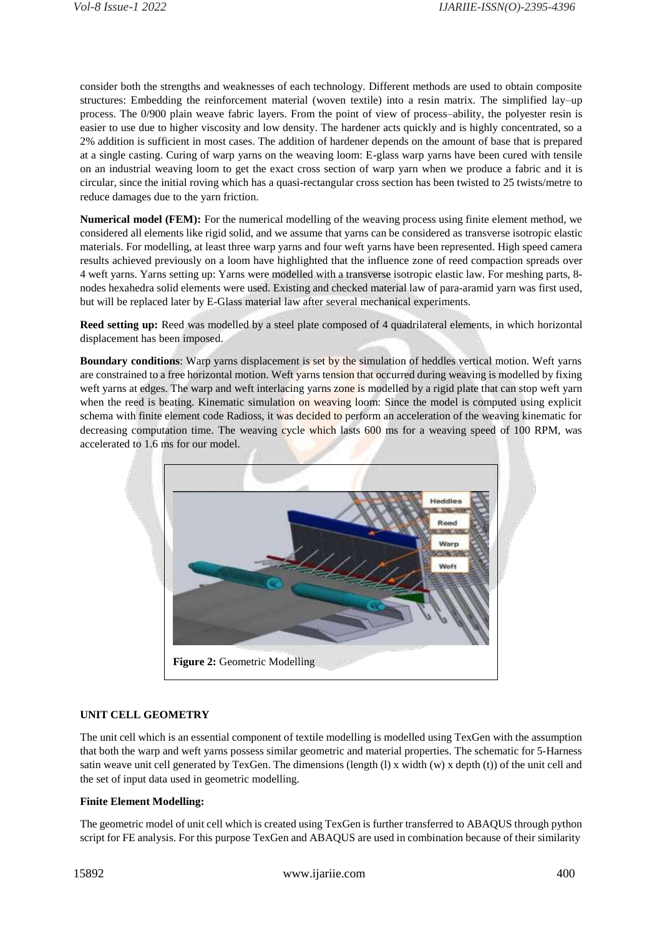consider both the strengths and weaknesses of each technology. Different methods are used to obtain composite structures: Embedding the reinforcement material (woven textile) into a resin matrix. The simplified lay–up process. The 0/900 plain weave fabric layers. From the point of view of process–ability, the polyester resin is easier to use due to higher viscosity and low density. The hardener acts quickly and is highly concentrated, so a 2% addition is sufficient in most cases. The addition of hardener depends on the amount of base that is prepared at a single casting. Curing of warp yarns on the weaving loom: E-glass warp yarns have been cured with tensile on an industrial weaving loom to get the exact cross section of warp yarn when we produce a fabric and it is circular, since the initial roving which has a quasi-rectangular cross section has been twisted to 25 twists/metre to reduce damages due to the yarn friction.

**Numerical model (FEM):** For the numerical modelling of the weaving process using finite element method, we considered all elements like rigid solid, and we assume that yarns can be considered as transverse isotropic elastic materials. For modelling, at least three warp yarns and four weft yarns have been represented. High speed camera results achieved previously on a loom have highlighted that the influence zone of reed compaction spreads over 4 weft yarns. Yarns setting up: Yarns were modelled with a transverse isotropic elastic law. For meshing parts, 8 nodes hexahedra solid elements were used. Existing and checked material law of para-aramid yarn was first used, but will be replaced later by E-Glass material law after several mechanical experiments.

**Reed setting up:** Reed was modelled by a steel plate composed of 4 quadrilateral elements, in which horizontal displacement has been imposed.

**Boundary conditions**: Warp yarns displacement is set by the simulation of heddles vertical motion. Weft yarns are constrained to a free horizontal motion. Weft yarns tension that occurred during weaving is modelled by fixing weft yarns at edges. The warp and weft interlacing yarns zone is modelled by a rigid plate that can stop weft yarn when the reed is beating. Kinematic simulation on weaving loom: Since the model is computed using explicit schema with finite element code Radioss, it was decided to perform an acceleration of the weaving kinematic for decreasing computation time. The weaving cycle which lasts 600 ms for a weaving speed of 100 RPM, was accelerated to 1.6 ms for our model.



#### **UNIT CELL GEOMETRY**

The unit cell which is an essential component of textile modelling is modelled using TexGen with the assumption that both the warp and weft yarns possess similar geometric and material properties. The schematic for 5-Harness satin weave unit cell generated by TexGen. The dimensions (length (l) x width  $(w)$  x depth (t)) of the unit cell and the set of input data used in geometric modelling.

#### **Finite Element Modelling:**

The geometric model of unit cell which is created using TexGen is further transferred to ABAQUS through python script for FE analysis. For this purpose TexGen and ABAQUS are used in combination because of their similarity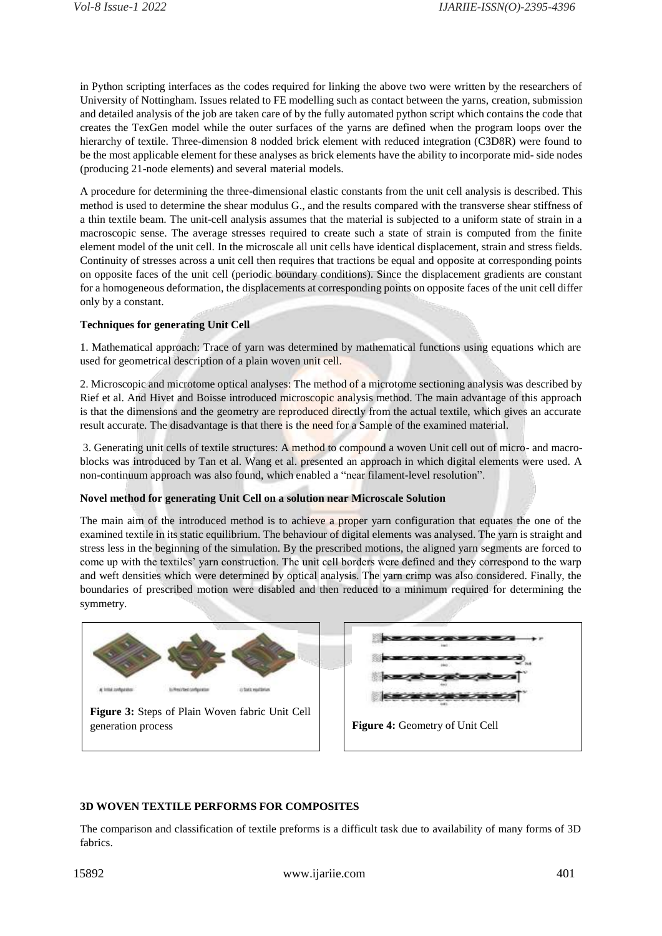in Python scripting interfaces as the codes required for linking the above two were written by the researchers of University of Nottingham. Issues related to FE modelling such as contact between the yarns, creation, submission and detailed analysis of the job are taken care of by the fully automated python script which contains the code that creates the TexGen model while the outer surfaces of the yarns are defined when the program loops over the hierarchy of textile. Three-dimension 8 nodded brick element with reduced integration (C3D8R) were found to be the most applicable element for these analyses as brick elements have the ability to incorporate mid- side nodes (producing 21-node elements) and several material models.

A procedure for determining the three-dimensional elastic constants from the unit cell analysis is described. This method is used to determine the shear modulus G., and the results compared with the transverse shear stiffness of a thin textile beam. The unit-cell analysis assumes that the material is subjected to a uniform state of strain in a macroscopic sense. The average stresses required to create such a state of strain is computed from the finite element model of the unit cell. In the microscale all unit cells have identical displacement, strain and stress fields. Continuity of stresses across a unit cell then requires that tractions be equal and opposite at corresponding points on opposite faces of the unit cell (periodic boundary conditions). Since the displacement gradients are constant for a homogeneous deformation, the displacements at corresponding points on opposite faces of the unit cell differ only by a constant.

## **Techniques for generating Unit Cell**

1. Mathematical approach: Trace of yarn was determined by mathematical functions using equations which are used for geometrical description of a plain woven unit cell.

2. Microscopic and microtome optical analyses: The method of a microtome sectioning analysis was described by Rief et al. And Hivet and Boisse introduced microscopic analysis method. The main advantage of this approach is that the dimensions and the geometry are reproduced directly from the actual textile, which gives an accurate result accurate. The disadvantage is that there is the need for a Sample of the examined material.

3. Generating unit cells of textile structures: A method to compound a woven Unit cell out of micro- and macroblocks was introduced by Tan et al. Wang et al. presented an approach in which digital elements were used. A non-continuum approach was also found, which enabled a "near filament-level resolution".

#### **Novel method for generating Unit Cell on a solution near Microscale Solution**

The main aim of the introduced method is to achieve a proper yarn configuration that equates the one of the examined textile in its static equilibrium. The behaviour of digital elements was analysed. The yarn is straight and stress less in the beginning of the simulation. By the prescribed motions, the aligned yarn segments are forced to come up with the textiles' yarn construction. The unit cell borders were defined and they correspond to the warp and weft densities which were determined by optical analysis. The yarn crimp was also considered. Finally, the boundaries of prescribed motion were disabled and then reduced to a minimum required for determining the symmetry.



#### **3D WOVEN TEXTILE PERFORMS FOR COMPOSITES**

The comparison and classification of textile preforms is a difficult task due to availability of many forms of 3D fabrics.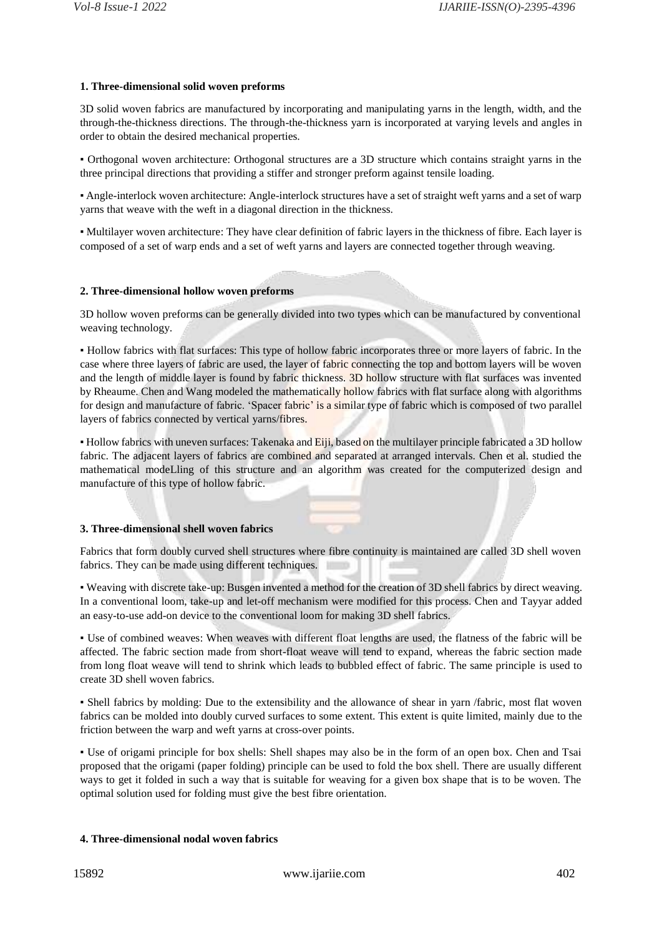## **1. Three-dimensional solid woven preforms**

3D solid woven fabrics are manufactured by incorporating and manipulating yarns in the length, width, and the through-the-thickness directions. The through-the-thickness yarn is incorporated at varying levels and angles in order to obtain the desired mechanical properties.

▪ Orthogonal woven architecture: Orthogonal structures are a 3D structure which contains straight yarns in the three principal directions that providing a stiffer and stronger preform against tensile loading.

▪ Angle-interlock woven architecture: Angle-interlock structures have a set of straight weft yarns and a set of warp yarns that weave with the weft in a diagonal direction in the thickness.

▪ Multilayer woven architecture: They have clear definition of fabric layers in the thickness of fibre. Each layer is composed of a set of warp ends and a set of weft yarns and layers are connected together through weaving.

#### **2. Three-dimensional hollow woven preforms**

3D hollow woven preforms can be generally divided into two types which can be manufactured by conventional weaving technology.

▪ Hollow fabrics with flat surfaces: This type of hollow fabric incorporates three or more layers of fabric. In the case where three layers of fabric are used, the layer of fabric connecting the top and bottom layers will be woven and the length of middle layer is found by fabric thickness. 3D hollow structure with flat surfaces was invented by Rheaume. Chen and Wang modeled the mathematically hollow fabrics with flat surface along with algorithms for design and manufacture of fabric. 'Spacer fabric' is a similar type of fabric which is composed of two parallel layers of fabrics connected by vertical yarns/fibres.

▪ Hollow fabrics with uneven surfaces: Takenaka and Eiji, based on the multilayer principle fabricated a 3D hollow fabric. The adjacent layers of fabrics are combined and separated at arranged intervals. Chen et al. studied the mathematical modeLling of this structure and an algorithm was created for the computerized design and manufacture of this type of hollow fabric.

## **3. Three-dimensional shell woven fabrics**

Fabrics that form doubly curved shell structures where fibre continuity is maintained are called 3D shell woven fabrics. They can be made using different techniques. ×

▪ Weaving with discrete take-up: Busgen invented a method for the creation of 3D shell fabrics by direct weaving. In a conventional loom, take-up and let-off mechanism were modified for this process. Chen and Tayyar added an easy-to-use add-on device to the conventional loom for making 3D shell fabrics.

▪ Use of combined weaves: When weaves with different float lengths are used, the flatness of the fabric will be affected. The fabric section made from short-float weave will tend to expand, whereas the fabric section made from long float weave will tend to shrink which leads to bubbled effect of fabric. The same principle is used to create 3D shell woven fabrics.

▪ Shell fabrics by molding: Due to the extensibility and the allowance of shear in yarn /fabric, most flat woven fabrics can be molded into doubly curved surfaces to some extent. This extent is quite limited, mainly due to the friction between the warp and weft yarns at cross-over points.

▪ Use of origami principle for box shells: Shell shapes may also be in the form of an open box. Chen and Tsai proposed that the origami (paper folding) principle can be used to fold the box shell. There are usually different ways to get it folded in such a way that is suitable for weaving for a given box shape that is to be woven. The optimal solution used for folding must give the best fibre orientation.

## **4. Three-dimensional nodal woven fabrics**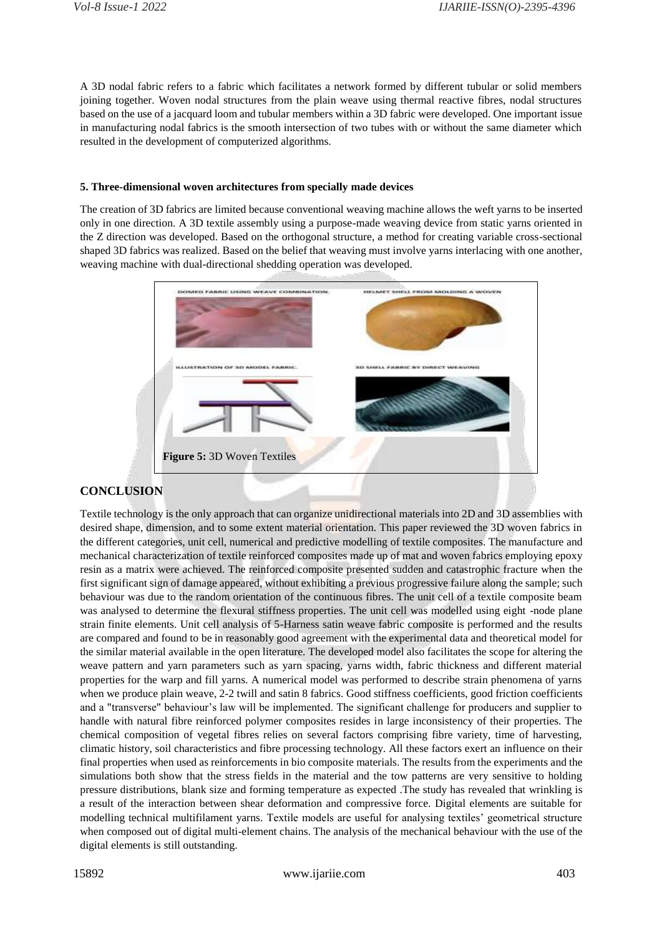A 3D nodal fabric refers to a fabric which facilitates a network formed by different tubular or solid members joining together. Woven nodal structures from the plain weave using thermal reactive fibres, nodal structures based on the use of a jacquard loom and tubular members within a 3D fabric were developed. One important issue in manufacturing nodal fabrics is the smooth intersection of two tubes with or without the same diameter which resulted in the development of computerized algorithms.

## **5. Three-dimensional woven architectures from specially made devices**

The creation of 3D fabrics are limited because conventional weaving machine allows the weft yarns to be inserted only in one direction. A 3D textile assembly using a purpose-made weaving device from static yarns oriented in the Z direction was developed. Based on the orthogonal structure, a method for creating variable cross-sectional shaped 3D fabrics was realized. Based on the belief that weaving must involve yarns interlacing with one another, weaving machine with dual-directional shedding operation was developed.



## **CONCLUSION**

Textile technology is the only approach that can organize unidirectional materials into 2D and 3D assemblies with desired shape, dimension, and to some extent material orientation. This paper reviewed the 3D woven fabrics in the different categories, unit cell, numerical and predictive modelling of textile composites. The manufacture and mechanical characterization of textile reinforced composites made up of mat and woven fabrics employing epoxy resin as a matrix were achieved. The reinforced composite presented sudden and catastrophic fracture when the first significant sign of damage appeared, without exhibiting a previous progressive failure along the sample; such behaviour was due to the random orientation of the continuous fibres. The unit cell of a textile composite beam was analysed to determine the flexural stiffness properties. The unit cell was modelled using eight -node plane strain finite elements. Unit cell analysis of 5-Harness satin weave fabric composite is performed and the results are compared and found to be in reasonably good agreement with the experimental data and theoretical model for the similar material available in the open literature. The developed model also facilitates the scope for altering the weave pattern and yarn parameters such as yarn spacing, yarns width, fabric thickness and different material properties for the warp and fill yarns. A numerical model was performed to describe strain phenomena of yarns when we produce plain weave, 2-2 twill and satin 8 fabrics. Good stiffness coefficients, good friction coefficients and a "transverse" behaviour's law will be implemented. The significant challenge for producers and supplier to handle with natural fibre reinforced polymer composites resides in large inconsistency of their properties. The chemical composition of vegetal fibres relies on several factors comprising fibre variety, time of harvesting, climatic history, soil characteristics and fibre processing technology. All these factors exert an influence on their final properties when used as reinforcements in bio composite materials. The results from the experiments and the simulations both show that the stress fields in the material and the tow patterns are very sensitive to holding pressure distributions, blank size and forming temperature as expected .The study has revealed that wrinkling is a result of the interaction between shear deformation and compressive force. Digital elements are suitable for modelling technical multifilament yarns. Textile models are useful for analysing textiles' geometrical structure when composed out of digital multi-element chains. The analysis of the mechanical behaviour with the use of the digital elements is still outstanding.